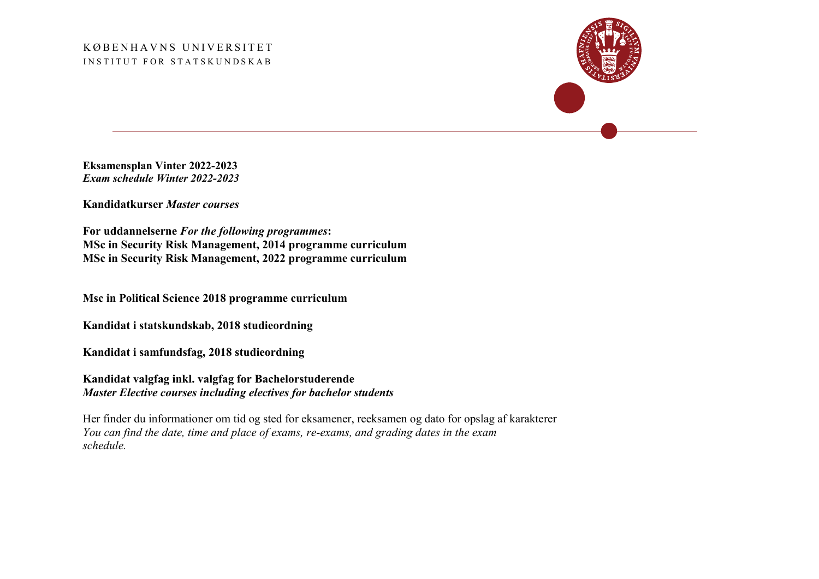## KØBENHAVNS UNIVERSITET INSTITUT FOR STATSKUNDSKAB



**Eksamensplan Vinter 2022-2023** *Exam schedule Winter 2022-2023*

**Kandidatkurser** *Master courses*

**For uddannelserne** *For the following programmes***: MSc in Security Risk Management, 2014 programme curriculum MSc in Security Risk Management, 2022 programme curriculum**

**Msc in Political Science 2018 programme curriculum**

**Kandidat i statskundskab, 2018 studieordning**

**Kandidat i samfundsfag, 2018 studieordning**

**Kandidat valgfag inkl. valgfag for Bachelorstuderende**  *Master Elective courses including electives for bachelor students*

Her finder du informationer om tid og sted for eksamener, reeksamen og dato for opslag af karakterer *You can find the date, time and place of exams, re-exams, and grading dates in the exam schedule.*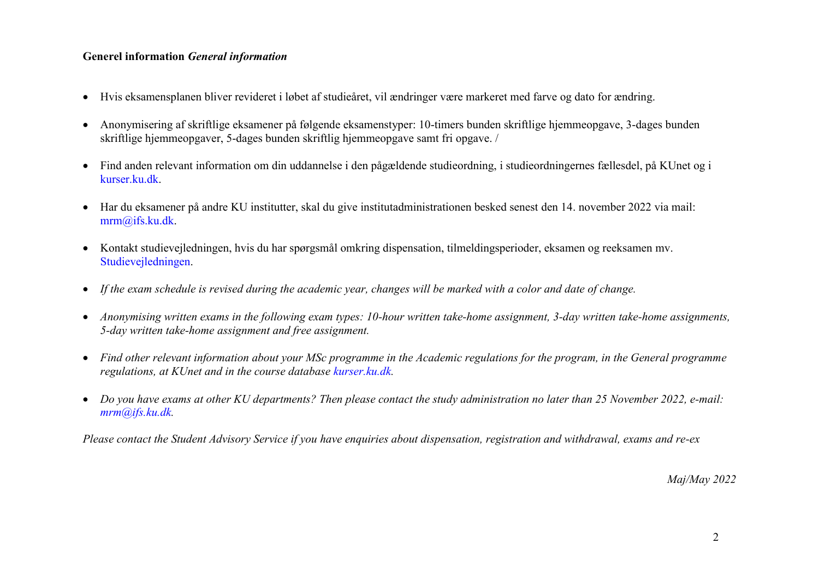## **Generel information** *General information*

- Hvis eksamensplanen bliver revideret i løbet af studieåret, vil ændringer være markeret med farve og dato for ændring.
- Anonymisering af skriftlige eksamener på følgende eksamenstyper: 10-timers bunden skriftlige hjemmeopgave, 3-dages bunden skriftlige hjemmeopgaver, 5-dages bunden skriftlig hjemmeopgave samt fri opgave. /
- Find anden relevant information om din uddannelse i den pågældende studieordning, i studieordningernes fællesdel, på KUnet og i [kurser.ku.dk.](https://kurser.ku.dk/)
- Har du eksamener på andre KU institutter, skal du give institutadministrationen besked senest den 14. november 2022 via mail: [mrm@ifs.ku.dk.](mailto:mrm@ifs.ku.dk)
- Kontakt studievejledningen, hvis du har spørgsmål omkring dispensation, tilmeldingsperioder, eksamen og reeksamen mv. [Studievejledningen.](https://polsci.ku.dk/uddannelser/Studievejledningen/)
- *If the exam schedule is revised during the academic year, changes will be marked with a color and date of change.*
- *Anonymising written exams in the following exam types: 10-hour written take-home assignment, 3-day written take-home assignments, 5-day written take-home assignment and free assignment.*
- *Find other relevant information about your MSc programme in the Academic regulations for the program, in the General programme regulations, at KUnet and in the course database [kurser.ku.dk.](https://kurser.ku.dk/)*
- *Do you have exams at other KU departments? Then please contact the study administration no later than 25 November 2022, e-mail: [mrm@ifs.ku.dk.](mailto:mrm@ifs.ku.dk)*

*Please contact the Student Advisory Service if you have enquiries about dispensation, registration and withdrawal, exams and re-ex*

*Maj/May 2022*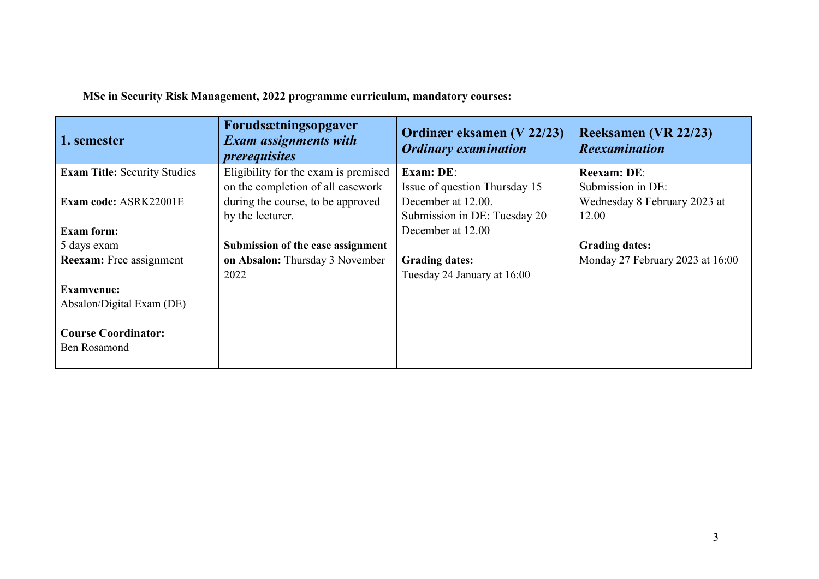| 1. semester                         | Forudsætningsopgaver<br><b>Exam assignments with</b><br><i>prerequisites</i> | Ordinær eksamen (V 22/23)<br><b>Ordinary examination</b> | <b>Reeksamen (VR 22/23)</b><br><b>Reexamination</b> |
|-------------------------------------|------------------------------------------------------------------------------|----------------------------------------------------------|-----------------------------------------------------|
| <b>Exam Title: Security Studies</b> | Eligibility for the exam is premised                                         | Exam: DE:                                                | <b>Reexam: DE:</b>                                  |
|                                     | on the completion of all casework                                            | Issue of question Thursday 15                            | Submission in DE:                                   |
| Exam code: ASRK22001E               | during the course, to be approved                                            | December at 12.00.                                       | Wednesday 8 February 2023 at                        |
|                                     | by the lecturer.                                                             | Submission in DE: Tuesday 20                             | 12.00                                               |
| <b>Exam form:</b>                   |                                                                              | December at 12.00                                        |                                                     |
| 5 days exam                         | Submission of the case assignment                                            |                                                          | <b>Grading dates:</b>                               |
| <b>Reexam:</b> Free assignment      | on Absalon: Thursday 3 November                                              | <b>Grading dates:</b>                                    | Monday 27 February 2023 at 16:00                    |
|                                     | 2022                                                                         | Tuesday 24 January at 16:00                              |                                                     |
| <b>Examvenue:</b>                   |                                                                              |                                                          |                                                     |
| Absalon/Digital Exam (DE)           |                                                                              |                                                          |                                                     |
|                                     |                                                                              |                                                          |                                                     |
| <b>Course Coordinator:</b>          |                                                                              |                                                          |                                                     |
| <b>Ben Rosamond</b>                 |                                                                              |                                                          |                                                     |
|                                     |                                                                              |                                                          |                                                     |

**MSc in Security Risk Management, 2022 programme curriculum, mandatory courses:**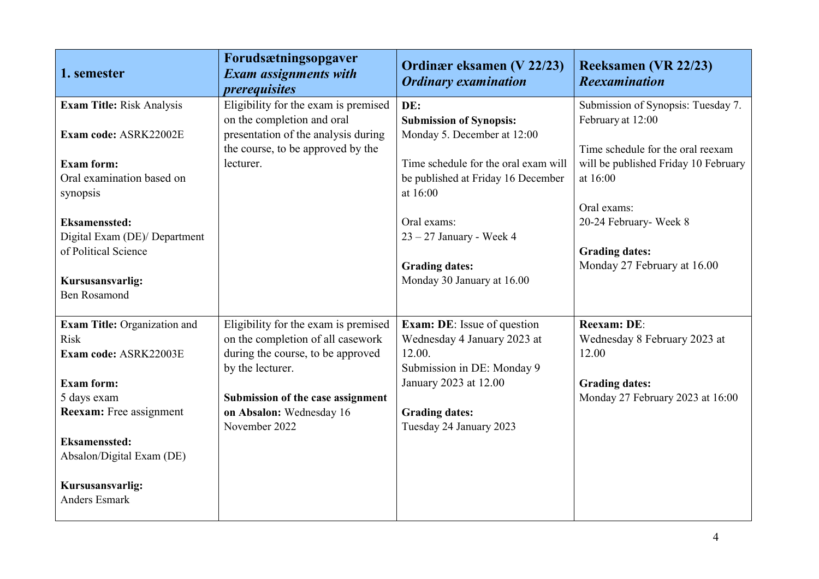| 1. semester                             | Forudsætningsopgaver<br><b>Exam assignments with</b><br><i>prerequisites</i> | Ordinær eksamen (V 22/23)<br><b>Ordinary examination</b> | <b>Reeksamen (VR 22/23)</b><br><b>Reexamination</b> |
|-----------------------------------------|------------------------------------------------------------------------------|----------------------------------------------------------|-----------------------------------------------------|
| <b>Exam Title: Risk Analysis</b>        | Eligibility for the exam is premised                                         | DE:                                                      | Submission of Synopsis: Tuesday 7.                  |
|                                         | on the completion and oral                                                   | <b>Submission of Synopsis:</b>                           | February at 12:00                                   |
| Exam code: ASRK22002E                   | presentation of the analysis during                                          | Monday 5. December at 12:00                              |                                                     |
|                                         | the course, to be approved by the                                            |                                                          | Time schedule for the oral reexam                   |
| <b>Exam form:</b>                       | lecturer.                                                                    | Time schedule for the oral exam will                     | will be published Friday 10 February                |
| Oral examination based on               |                                                                              | be published at Friday 16 December                       | at 16:00                                            |
| synopsis                                |                                                                              | at 16:00                                                 |                                                     |
|                                         |                                                                              |                                                          | Oral exams:                                         |
| <b>Eksamenssted:</b>                    |                                                                              | Oral exams:                                              | 20-24 February- Week 8                              |
| Digital Exam (DE)/ Department           |                                                                              | $23 - 27$ January - Week 4                               |                                                     |
| of Political Science                    |                                                                              |                                                          | <b>Grading dates:</b>                               |
|                                         |                                                                              | <b>Grading dates:</b>                                    | Monday 27 February at 16.00                         |
| Kursusansvarlig:<br><b>Ben Rosamond</b> |                                                                              | Monday 30 January at 16.00                               |                                                     |
|                                         |                                                                              |                                                          |                                                     |
| Exam Title: Organization and            | Eligibility for the exam is premised                                         | <b>Exam: DE:</b> Issue of question                       | Reexam: DE:                                         |
| <b>Risk</b>                             | on the completion of all casework                                            | Wednesday 4 January 2023 at                              | Wednesday 8 February 2023 at                        |
| Exam code: ASRK22003E                   | during the course, to be approved                                            | 12.00.                                                   | 12.00                                               |
|                                         | by the lecturer.                                                             | Submission in DE: Monday 9                               |                                                     |
| <b>Exam form:</b>                       |                                                                              | January 2023 at 12.00                                    | <b>Grading dates:</b>                               |
| 5 days exam                             | Submission of the case assignment                                            |                                                          | Monday 27 February 2023 at 16:00                    |
| <b>Reexam:</b> Free assignment          | on Absalon: Wednesday 16                                                     | <b>Grading dates:</b>                                    |                                                     |
|                                         | November 2022                                                                | Tuesday 24 January 2023                                  |                                                     |
| <b>Eksamenssted:</b>                    |                                                                              |                                                          |                                                     |
| Absalon/Digital Exam (DE)               |                                                                              |                                                          |                                                     |
|                                         |                                                                              |                                                          |                                                     |
| Kursusansvarlig:                        |                                                                              |                                                          |                                                     |
| <b>Anders Esmark</b>                    |                                                                              |                                                          |                                                     |
|                                         |                                                                              |                                                          |                                                     |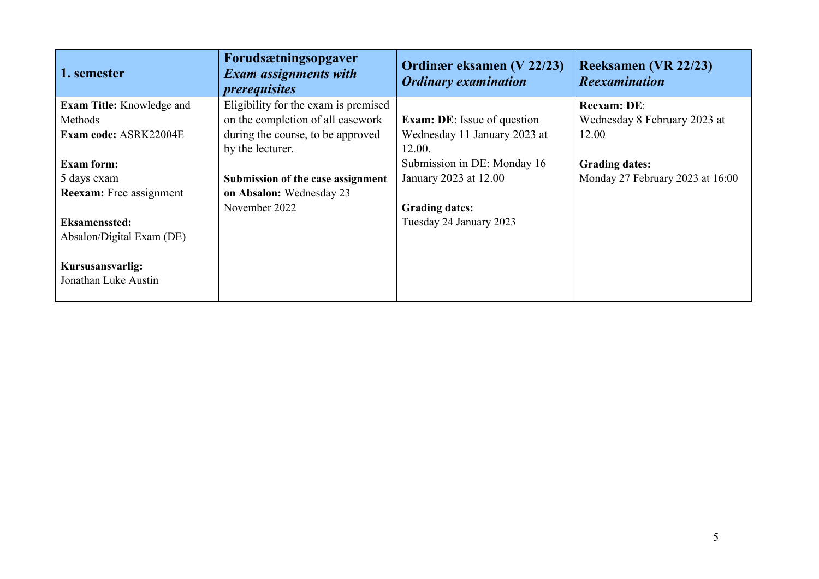| 1. semester                      | Forudsætningsopgaver<br><b>Exam assignments with</b><br><i>prerequisites</i> | Ordinær eksamen (V 22/23)<br><b>Ordinary examination</b> | Reeksamen (VR 22/23)<br><b>Reexamination</b> |
|----------------------------------|------------------------------------------------------------------------------|----------------------------------------------------------|----------------------------------------------|
| <b>Exam Title:</b> Knowledge and | Eligibility for the exam is premised                                         |                                                          | <b>Reexam: DE:</b>                           |
| Methods                          | on the completion of all casework                                            | <b>Exam: DE:</b> Issue of question                       | Wednesday 8 February 2023 at                 |
| <b>Exam code: ASRK22004E</b>     | during the course, to be approved                                            | Wednesday 11 January 2023 at                             | 12.00                                        |
|                                  | by the lecturer.                                                             | 12.00.                                                   |                                              |
| <b>Exam form:</b>                |                                                                              | Submission in DE: Monday 16                              | <b>Grading dates:</b>                        |
| 5 days exam                      | Submission of the case assignment                                            | January 2023 at 12.00                                    | Monday 27 February 2023 at 16:00             |
| <b>Reexam:</b> Free assignment   | on Absalon: Wednesday 23                                                     |                                                          |                                              |
|                                  | November 2022                                                                | <b>Grading dates:</b>                                    |                                              |
| <b>Eksamenssted:</b>             |                                                                              | Tuesday 24 January 2023                                  |                                              |
| Absalon/Digital Exam (DE)        |                                                                              |                                                          |                                              |
| Kursusansvarlig:                 |                                                                              |                                                          |                                              |
| Jonathan Luke Austin             |                                                                              |                                                          |                                              |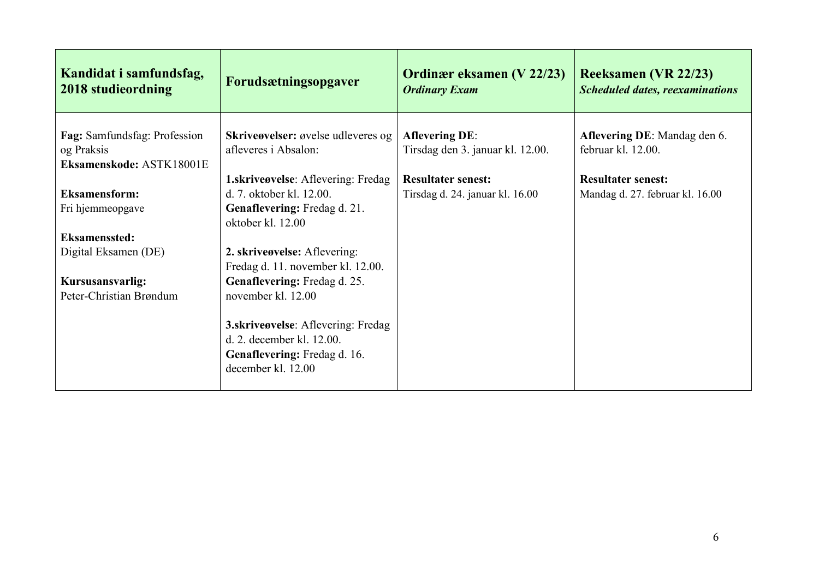| Kandidat i samfundsfag,<br>2018 studieordning                          | Forudsætningsopgaver                                                                                                         | <b>Ordinær eksamen (V 22/23)</b><br><b>Ordinary Exam</b>     | <b>Reeksamen (VR 22/23)</b><br><b>Scheduled dates, reexaminations</b> |
|------------------------------------------------------------------------|------------------------------------------------------------------------------------------------------------------------------|--------------------------------------------------------------|-----------------------------------------------------------------------|
| Fag: Samfundsfag: Profession<br>og Praksis<br>Eksamenskode: ASTK18001E | Skriveøvelser: øvelse udleveres og<br>afleveres i Absalon:                                                                   | <b>Aflevering DE:</b><br>Tirsdag den 3. januar kl. 12.00.    | Aflevering DE: Mandag den 6.<br>februar kl. 12.00.                    |
| <b>Eksamensform:</b><br>Fri hjemmeopgave                               | <b>1.skriveøvelse:</b> Aflevering: Fredag<br>d. 7. oktober kl. 12.00.<br>Genaflevering: Fredag d. 21.                        | <b>Resultater senest:</b><br>Tirsdag d. 24. januar kl. 16.00 | <b>Resultater senest:</b><br>Mandag d. 27. februar kl. 16.00          |
| <b>Eksamenssted:</b><br>Digital Eksamen (DE)                           | oktober kl. 12.00<br>2. skriveøvelse: Aflevering:<br>Fredag d. 11. november kl. 12.00.                                       |                                                              |                                                                       |
| Kursusansvarlig:<br>Peter-Christian Brøndum                            | Genaflevering: Fredag d. 25.<br>november kl. 12.00                                                                           |                                                              |                                                                       |
|                                                                        | 3.skriveøvelse: Aflevering: Fredag<br>d. 2. december kl. 12.00.<br><b>Genaflevering:</b> Fredag d. 16.<br>december kl. 12.00 |                                                              |                                                                       |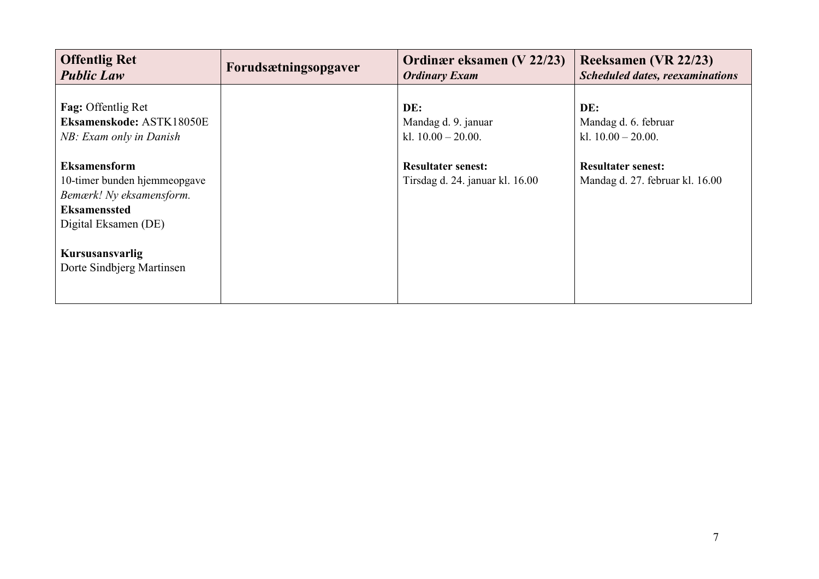| <b>Offentlig Ret</b>                                                                                                                                                           | Forudsætningsopgaver | Ordinær eksamen (V 22/23)                                    | <b>Reeksamen (VR 22/23)</b>                                  |
|--------------------------------------------------------------------------------------------------------------------------------------------------------------------------------|----------------------|--------------------------------------------------------------|--------------------------------------------------------------|
| <b>Public Law</b>                                                                                                                                                              |                      | <b>Ordinary Exam</b>                                         | <b>Scheduled dates, reexaminations</b>                       |
| Fag: Offentlig Ret                                                                                                                                                             |                      | DE:                                                          | DE:                                                          |
| Eksamenskode: ASTK18050E                                                                                                                                                       |                      | Mandag d. 9. januar                                          | Mandag d. 6. februar                                         |
| NB: Exam only in Danish                                                                                                                                                        |                      | kl. $10.00 - 20.00$ .                                        | kl. $10.00 - 20.00$ .                                        |
| <b>Eksamensform</b><br>10-timer bunden hjemmeopgave<br>Bemærk! Ny eksamensform.<br><b>Eksamenssted</b><br>Digital Eksamen (DE)<br>Kursusansvarlig<br>Dorte Sindbjerg Martinsen |                      | <b>Resultater senest:</b><br>Tirsdag d. 24. januar kl. 16.00 | <b>Resultater senest:</b><br>Mandag d. 27. februar kl. 16.00 |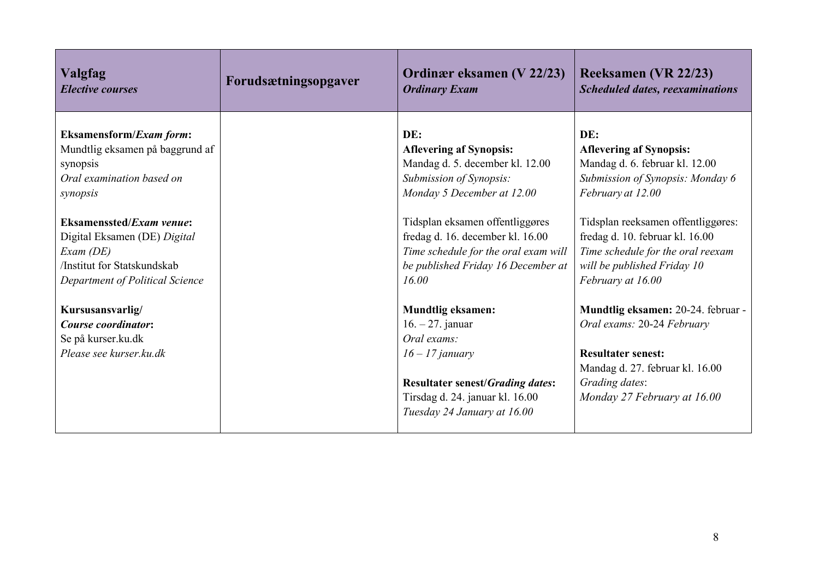| <b>Valgfag</b>                                                                           | Forudsætningsopgaver | Ordinær eksamen (V 22/23)                                                                                                                                                                       | <b>Reeksamen (VR 22/23)</b>                                                                                                                                                       |
|------------------------------------------------------------------------------------------|----------------------|-------------------------------------------------------------------------------------------------------------------------------------------------------------------------------------------------|-----------------------------------------------------------------------------------------------------------------------------------------------------------------------------------|
| <b>Elective courses</b>                                                                  |                      | <b>Ordinary Exam</b>                                                                                                                                                                            | <b>Scheduled dates, reexaminations</b>                                                                                                                                            |
| <b>Eksamensform/Exam form:</b>                                                           |                      | DE:                                                                                                                                                                                             | DE:                                                                                                                                                                               |
| Mundtlig eksamen på baggrund af                                                          |                      | <b>Aflevering af Synopsis:</b>                                                                                                                                                                  | <b>Aflevering af Synopsis:</b>                                                                                                                                                    |
| synopsis                                                                                 |                      | Mandag d. 5. december kl. 12.00                                                                                                                                                                 | Mandag d. 6. februar kl. 12.00                                                                                                                                                    |
| Oral examination based on                                                                |                      | Submission of Synopsis:                                                                                                                                                                         | Submission of Synopsis: Monday 6                                                                                                                                                  |
| synopsis                                                                                 |                      | Monday 5 December at 12.00                                                                                                                                                                      | February at 12.00                                                                                                                                                                 |
| <b>Eksamenssted/Exam venue:</b>                                                          |                      | Tidsplan eksamen offentliggøres                                                                                                                                                                 | Tidsplan reeksamen offentliggøres:                                                                                                                                                |
| Digital Eksamen (DE) Digital                                                             |                      | fredag d. 16. december kl. 16.00                                                                                                                                                                | fredag d. 10. februar kl. 16.00                                                                                                                                                   |
| $Exam$ (DE)                                                                              |                      | Time schedule for the oral exam will                                                                                                                                                            | Time schedule for the oral reexam                                                                                                                                                 |
| /Institut for Statskundskab                                                              |                      | be published Friday 16 December at                                                                                                                                                              | will be published Friday 10                                                                                                                                                       |
| Department of Political Science                                                          |                      | 16.00                                                                                                                                                                                           | February at 16.00                                                                                                                                                                 |
| Kursusansvarlig/<br>Course coordinator:<br>Se på kurser.ku.dk<br>Please see kurser.ku.dk |                      | <b>Mundtlig eksamen:</b><br>$16. - 27.$ januar<br>Oral exams:<br>$16 - 17$ january<br><b>Resultater senest/Grading dates:</b><br>Tirsdag d. 24. januar kl. 16.00<br>Tuesday 24 January at 16.00 | Mundtlig eksamen: 20-24. februar -<br>Oral exams: 20-24 February<br><b>Resultater senest:</b><br>Mandag d. 27. februar kl. 16.00<br>Grading dates:<br>Monday 27 February at 16.00 |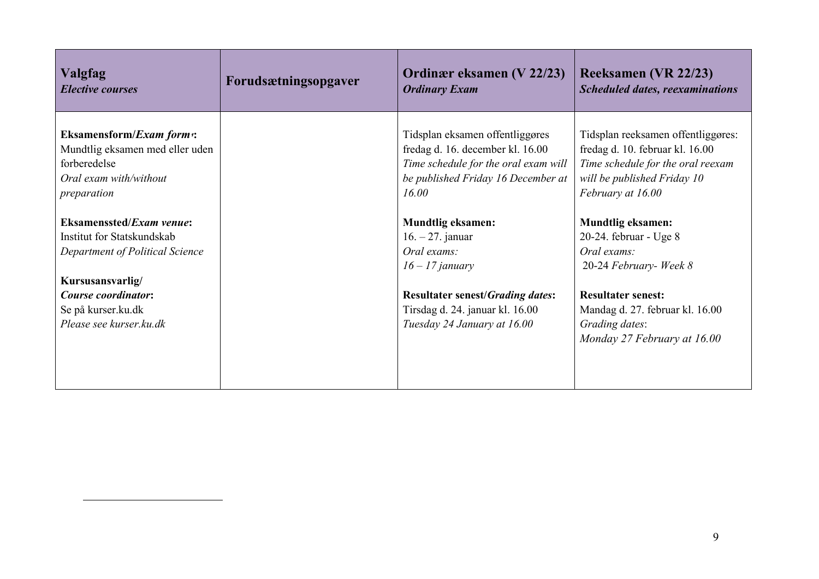| <b>Valgfag</b><br><b>Elective courses</b> | Forudsætningsopgaver | Ordinær eksamen (V 22/23)<br><b>Ordinary Exam</b> | Reeksamen (VR 22/23)<br><b>Scheduled dates, reexaminations</b> |
|-------------------------------------------|----------------------|---------------------------------------------------|----------------------------------------------------------------|
| Eksamensform/Exam form:                   |                      | Tidsplan eksamen offentliggøres                   | Tidsplan reeksamen offentliggøres:                             |
| Mundtlig eksamen med eller uden           |                      | fredag d. 16. december kl. 16.00                  | fredag d. 10. februar kl. 16.00                                |
| forberedelse                              |                      | Time schedule for the oral exam will              | Time schedule for the oral reexam                              |
| Oral exam with/without                    |                      | be published Friday 16 December at                | will be published Friday 10                                    |
| preparation                               |                      | 16.00                                             | February at 16.00                                              |
|                                           |                      |                                                   |                                                                |
| <b>Eksamenssted/Exam venue:</b>           |                      | <b>Mundtlig eksamen:</b>                          | <b>Mundtlig eksamen:</b>                                       |
| Institut for Statskundskab                |                      | $16. - 27.$ januar                                | 20-24. februar - Uge 8                                         |
| Department of Political Science           |                      | Oral exams:                                       | Oral exams:                                                    |
|                                           |                      | $16 - 17$ january                                 | 20-24 February- Week 8                                         |
| Kursusansvarlig/                          |                      |                                                   |                                                                |
| <b>Course coordinator:</b>                |                      | <b>Resultater senest/Grading dates:</b>           | <b>Resultater senest:</b>                                      |
| Se på kurser.ku.dk                        |                      | Tirsdag d. 24. januar kl. 16.00                   | Mandag d. 27. februar kl. 16.00                                |
| Please see kurser.ku.dk                   |                      | Tuesday 24 January at 16.00                       | Grading dates:                                                 |
|                                           |                      |                                                   | Monday 27 February at 16.00                                    |
|                                           |                      |                                                   |                                                                |
|                                           |                      |                                                   |                                                                |
|                                           |                      |                                                   |                                                                |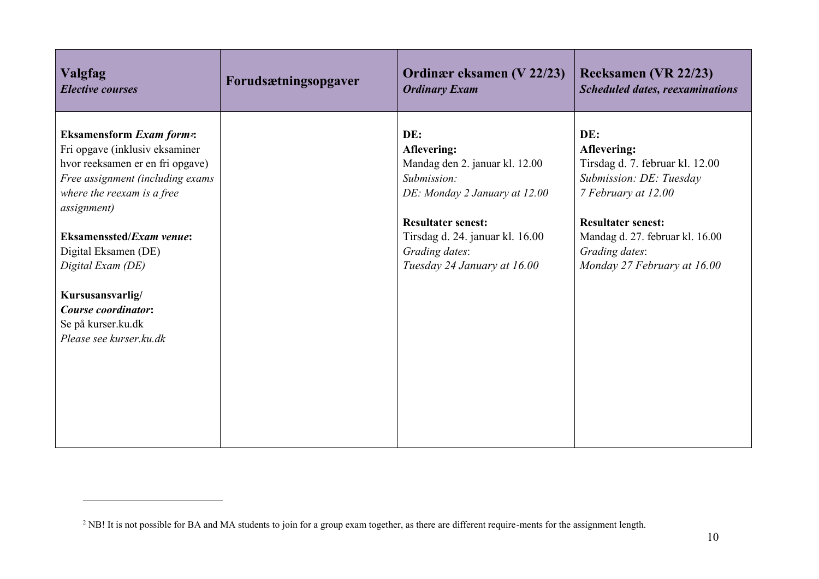| <b>Valgfag</b>                                                       | Forudsætningsopgaver | Ordinær eksamen (V 22/23)       | <b>Reeksamen (VR 22/23)</b>            |
|----------------------------------------------------------------------|----------------------|---------------------------------|----------------------------------------|
| <b>Elective courses</b>                                              |                      | <b>Ordinary Exam</b>            | <b>Scheduled dates, reexaminations</b> |
| <b>Eksamensform Exam form2:</b>                                      |                      | DE:                             | DE:                                    |
| Fri opgave (inklusiv eksaminer                                       |                      | Aflevering:                     | Aflevering:                            |
| hvor reeksamen er en fri opgave)                                     |                      | Mandag den 2. januar kl. 12.00  | Tirsdag d. 7. februar kl. 12.00        |
| Free assignment (including exams                                     |                      | Submission:                     | Submission: DE: Tuesday                |
| where the reexam is a free                                           |                      | DE: Monday 2 January at 12.00   | 7 February at 12.00                    |
| <i>assignment</i> )                                                  |                      | <b>Resultater senest:</b>       | <b>Resultater senest:</b>              |
| <b>Eksamenssted/Exam venue:</b>                                      |                      | Tirsdag d. 24. januar kl. 16.00 | Mandag d. 27. februar kl. 16.00        |
| Digital Eksamen (DE)                                                 |                      | Grading dates:                  | Grading dates:                         |
| Digital Exam (DE)                                                    |                      | Tuesday 24 January at 16.00     | Monday 27 February at 16.00            |
| Kursusansvarlig/<br><b>Course coordinator:</b><br>Se på kurser.ku.dk |                      |                                 |                                        |
| Please see kurser.ku.dk                                              |                      |                                 |                                        |
|                                                                      |                      |                                 |                                        |

<sup>&</sup>lt;sup>2</sup> NB! It is not possible for BA and MA students to join for a group exam together, as there are different require-ments for the assignment length.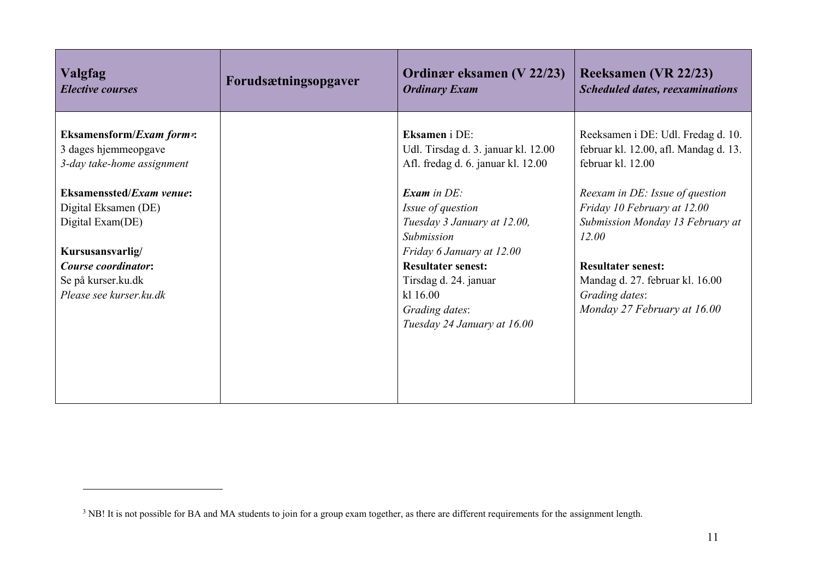| <b>Valgfag</b><br><b>Elective courses</b>          | Forudsætningsopgaver | Ordinær eksamen (V 22/23)<br><b>Ordinary Exam</b>                         | <b>Reeksamen (VR 22/23)</b><br><b>Scheduled dates, reexaminations</b> |
|----------------------------------------------------|----------------------|---------------------------------------------------------------------------|-----------------------------------------------------------------------|
| <b>Eksamensform/Exam forms:</b>                    |                      | <b>Eksamen</b> i DE:                                                      | Reeksamen i DE: Udl. Fredag d. 10.                                    |
| 3 dages hjemmeopgave<br>3-day take-home assignment |                      | Udl. Tirsdag d. 3. januar kl. 12.00<br>Afl. fredag d. 6. januar kl. 12.00 | februar kl. 12.00, afl. Mandag d. 13.<br>februar kl. 12.00            |
| <b>Eksamenssted/Exam venue:</b>                    |                      | <b>Exam</b> in $DE$ :                                                     | Reexam in DE: Issue of question                                       |
| Digital Eksamen (DE)                               |                      | Issue of question                                                         | Friday 10 February at 12.00                                           |
| Digital Exam(DE)                                   |                      | Tuesday 3 January at 12.00,                                               | Submission Monday 13 February at                                      |
|                                                    |                      | Submission                                                                | 12.00                                                                 |
| Kursusansvarlig/                                   |                      | Friday 6 January at 12.00                                                 |                                                                       |
| <b>Course coordinator:</b>                         |                      | <b>Resultater senest:</b>                                                 | <b>Resultater senest:</b>                                             |
| Se på kurser.ku.dk                                 |                      | Tirsdag d. 24. januar                                                     | Mandag d. 27. februar kl. 16.00                                       |
| Please see kurser.ku.dk                            |                      | k1 16.00                                                                  | Grading dates:                                                        |
|                                                    |                      | Grading dates:                                                            | Monday 27 February at 16.00                                           |
|                                                    |                      | Tuesday 24 January at 16.00                                               |                                                                       |
|                                                    |                      |                                                                           |                                                                       |
|                                                    |                      |                                                                           |                                                                       |
|                                                    |                      |                                                                           |                                                                       |
|                                                    |                      |                                                                           |                                                                       |
|                                                    |                      |                                                                           |                                                                       |

<sup>&</sup>lt;sup>3</sup> NB! It is not possible for BA and MA students to join for a group exam together, as there are different requirements for the assignment length.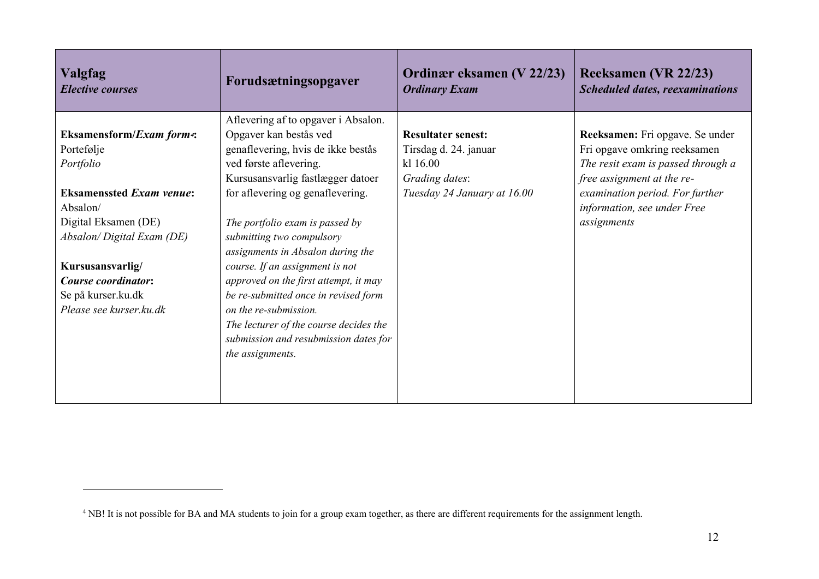| <b>Valgfag</b><br><b>Elective courses</b> | Forudsætningsopgaver                   | Ordinær eksamen (V 22/23)<br><b>Ordinary Exam</b> | Reeksamen (VR 22/23)<br><b>Scheduled dates, reexaminations</b> |
|-------------------------------------------|----------------------------------------|---------------------------------------------------|----------------------------------------------------------------|
|                                           | Aflevering af to opgaver i Absalon.    |                                                   |                                                                |
| <b>Eksamensform/Exam form4:</b>           | Opgaver kan bestås ved                 | <b>Resultater senest:</b>                         | Reeksamen: Fri opgave. Se under                                |
| Portefølje                                | genaflevering, hvis de ikke bestås     | Tirsdag d. 24. januar                             | Fri opgave omkring reeksamen                                   |
| Portfolio                                 | ved første aflevering.                 | kl 16.00                                          | The resit exam is passed through a                             |
|                                           | Kursusansvarlig fastlægger datoer      | Grading dates:                                    | free assignment at the re-                                     |
| <b>Eksamenssted Exam venue:</b>           | for aflevering og genaflevering.       | Tuesday 24 January at 16.00                       | examination period. For further                                |
| Absalon/                                  |                                        |                                                   | information, see under Free                                    |
| Digital Eksamen (DE)                      | The portfolio exam is passed by        |                                                   | assignments                                                    |
| Absalon/Digital Exam (DE)                 | submitting two compulsory              |                                                   |                                                                |
|                                           | assignments in Absalon during the      |                                                   |                                                                |
| Kursusansvarlig/                          | course. If an assignment is not        |                                                   |                                                                |
| Course coordinator:                       | approved on the first attempt, it may  |                                                   |                                                                |
| Se på kurser.ku.dk                        | be re-submitted once in revised form   |                                                   |                                                                |
| Please see kurser.ku.dk                   | on the re-submission.                  |                                                   |                                                                |
|                                           | The lecturer of the course decides the |                                                   |                                                                |
|                                           | submission and resubmission dates for  |                                                   |                                                                |
|                                           | the assignments.                       |                                                   |                                                                |
|                                           |                                        |                                                   |                                                                |
|                                           |                                        |                                                   |                                                                |
|                                           |                                        |                                                   |                                                                |

<sup>&</sup>lt;sup>4</sup> NB! It is not possible for BA and MA students to join for a group exam together, as there are different requirements for the assignment length.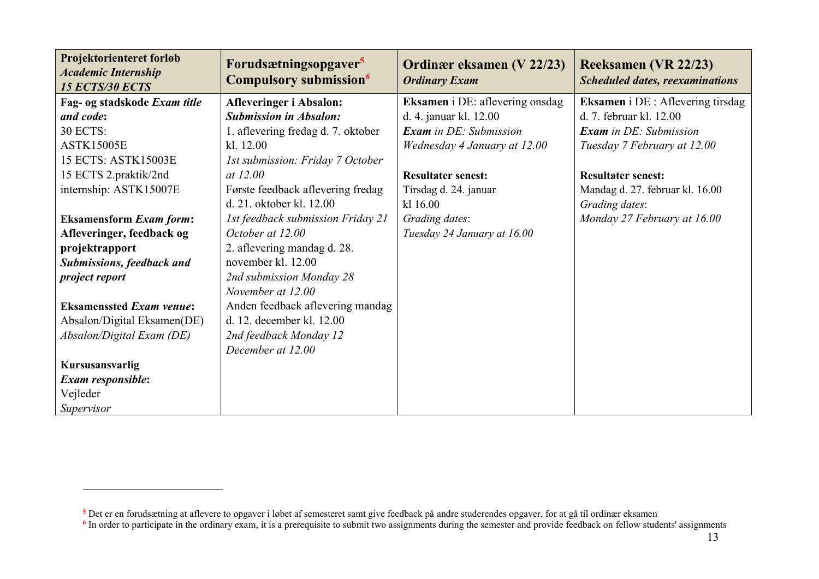| Projektorienteret forløb<br><b>Academic Internship</b><br><b>15 ECTS/30 ECTS</b> | Forudsætningsopgaver <sup>5</sup><br>Compulsory submission <sup>6</sup> | Ordinær eksamen (V 22/23)<br><b>Ordinary Exam</b> | Reeksamen (VR 22/23)<br><b>Scheduled dates, reexaminations</b> |
|----------------------------------------------------------------------------------|-------------------------------------------------------------------------|---------------------------------------------------|----------------------------------------------------------------|
| Fag- og stadskode Exam title                                                     | <b>Afleveringer i Absalon:</b>                                          | Eksamen i DE: aflevering onsdag                   | <b>Eksamen</b> i DE : Aflevering tirsdag                       |
| and code:                                                                        | <b>Submission in Absalon:</b>                                           | d. 4. januar kl. 12.00                            | d. 7. februar kl. 12.00                                        |
| 30 ECTS:                                                                         | 1. aflevering fredag d. 7. oktober                                      | <b>Exam</b> in DE: Submission                     | <b>Exam</b> in DE: Submission                                  |
| <b>ASTK15005E</b>                                                                | kl. 12.00                                                               | Wednesday 4 January at 12.00                      | Tuesday 7 February at 12.00                                    |
| 15 ECTS: ASTK15003E                                                              | 1st submission: Friday 7 October                                        |                                                   |                                                                |
| 15 ECTS 2.praktik/2nd                                                            | at 12.00                                                                | <b>Resultater senest:</b>                         | <b>Resultater senest:</b>                                      |
| internship: ASTK15007E                                                           | Første feedback aflevering fredag                                       | Tirsdag d. 24. januar                             | Mandag d. 27. februar kl. 16.00                                |
|                                                                                  | d. 21. oktober kl. 12.00                                                | kl 16.00                                          | Grading dates:                                                 |
| <b>Eksamensform Exam form:</b>                                                   | 1st feedback submission Friday 21                                       | Grading dates:                                    | Monday 27 February at 16.00                                    |
| Afleveringer, feedback og                                                        | October at 12.00                                                        | Tuesday 24 January at 16.00                       |                                                                |
| projektrapport                                                                   | 2. aflevering mandag d. 28.                                             |                                                   |                                                                |
| <b>Submissions, feedback and</b>                                                 | november kl. 12.00                                                      |                                                   |                                                                |
| project report                                                                   | 2nd submission Monday 28                                                |                                                   |                                                                |
|                                                                                  | November at 12.00                                                       |                                                   |                                                                |
| <b>Eksamenssted Exam venue:</b>                                                  | Anden feedback aflevering mandag                                        |                                                   |                                                                |
| Absalon/Digital Eksamen(DE)                                                      | d. 12. december kl. 12.00                                               |                                                   |                                                                |
| Absalon/Digital Exam (DE)                                                        | 2nd feedback Monday 12                                                  |                                                   |                                                                |
|                                                                                  | December at 12.00                                                       |                                                   |                                                                |
| Kursusansvarlig                                                                  |                                                                         |                                                   |                                                                |
| Exam responsible:                                                                |                                                                         |                                                   |                                                                |
| Vejleder                                                                         |                                                                         |                                                   |                                                                |
| Supervisor                                                                       |                                                                         |                                                   |                                                                |

**<sup>5</sup>** Det er en forudsætning at aflevere to opgaver i løbet af semesteret samt give feedback på andre studerendes opgaver, for at gå til ordinær eksamen

<sup>&</sup>lt;sup>6</sup> In order to participate in the ordinary exam, it is a prerequisite to submit two assignments during the semester and provide feedback on fellow students' assignments